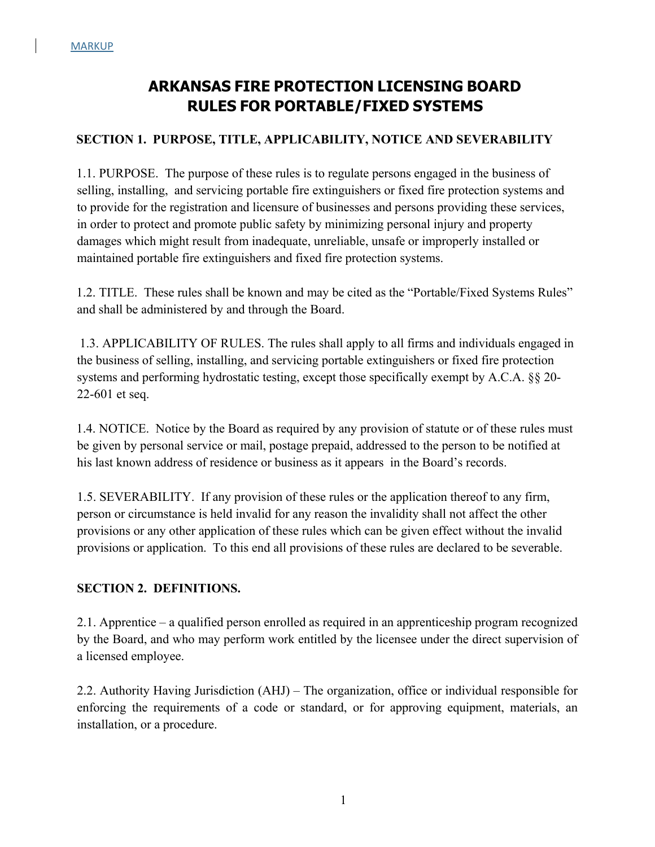# **ARKANSAS FIRE PROTECTION LICENSING BOARD RULES FOR PORTABLE/FIXED SYSTEMS**

### **SECTION 1. PURPOSE, TITLE, APPLICABILITY, NOTICE AND SEVERABILITY**

1.1. PURPOSE. The purpose of these rules is to regulate persons engaged in the business of selling, installing, and servicing portable fire extinguishers or fixed fire protection systems and to provide for the registration and licensure of businesses and persons providing these services, in order to protect and promote public safety by minimizing personal injury and property damages which might result from inadequate, unreliable, unsafe or improperly installed or maintained portable fire extinguishers and fixed fire protection systems.

1.2. TITLE. These rules shall be known and may be cited as the "Portable/Fixed Systems Rules" and shall be administered by and through the Board.

1.3. APPLICABILITY OF RULES. The rules shall apply to all firms and individuals engaged in the business of selling, installing, and servicing portable extinguishers or fixed fire protection systems and performing hydrostatic testing, except those specifically exempt by A.C.A. §§ 20- 22-601 et seq.

1.4. NOTICE. Notice by the Board as required by any provision of statute or of these rules must be given by personal service or mail, postage prepaid, addressed to the person to be notified at his last known address of residence or business as it appears in the Board's records.

1.5. SEVERABILITY. If any provision of these rules or the application thereof to any firm, person or circumstance is held invalid for any reason the invalidity shall not affect the other provisions or any other application of these rules which can be given effect without the invalid provisions or application. To this end all provisions of these rules are declared to be severable.

### **SECTION 2. DEFINITIONS.**

2.1. Apprentice – a qualified person enrolled as required in an apprenticeship program recognized by the Board, and who may perform work entitled by the licensee under the direct supervision of a licensed employee.

2.2. Authority Having Jurisdiction (AHJ) – The organization, office or individual responsible for enforcing the requirements of a code or standard, or for approving equipment, materials, an installation, or a procedure.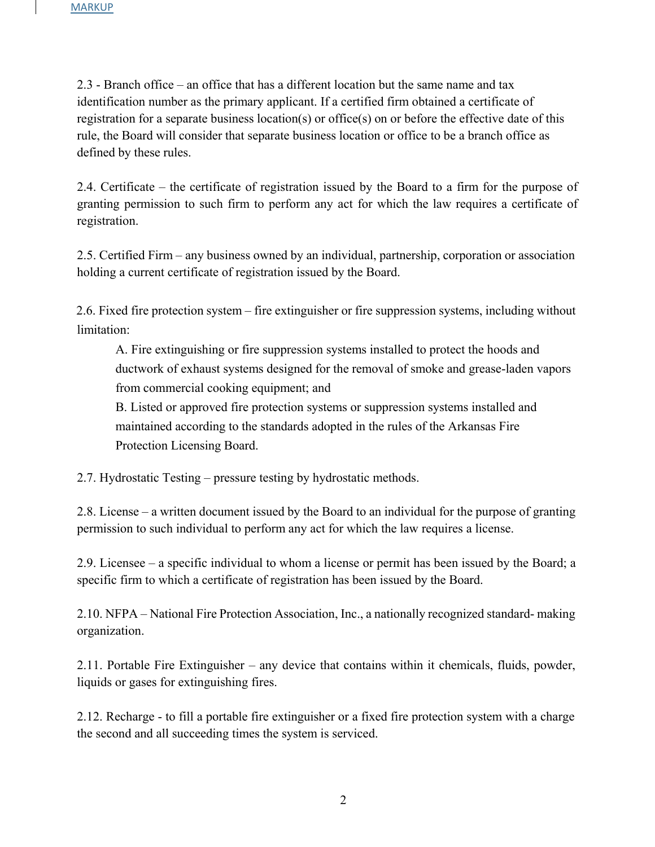2.3 - Branch office – an office that has a different location but the same name and tax identification number as the primary applicant. If a certified firm obtained a certificate of registration for a separate business location(s) or office(s) on or before the effective date of this rule, the Board will consider that separate business location or office to be a branch office as defined by these rules.

2.4. Certificate – the certificate of registration issued by the Board to a firm for the purpose of granting permission to such firm to perform any act for which the law requires a certificate of registration.

2.5. Certified Firm – any business owned by an individual, partnership, corporation or association holding a current certificate of registration issued by the Board.

2.6. Fixed fire protection system – fire extinguisher or fire suppression systems, including without limitation:

A. Fire extinguishing or fire suppression systems installed to protect the hoods and ductwork of exhaust systems designed for the removal of smoke and grease-laden vapors from commercial cooking equipment; and

B. Listed or approved fire protection systems or suppression systems installed and maintained according to the standards adopted in the rules of the Arkansas Fire Protection Licensing Board.

2.7. Hydrostatic Testing – pressure testing by hydrostatic methods.

2.8. License – a written document issued by the Board to an individual for the purpose of granting permission to such individual to perform any act for which the law requires a license.

2.9. Licensee – a specific individual to whom a license or permit has been issued by the Board; a specific firm to which a certificate of registration has been issued by the Board.

2.10. NFPA – National Fire Protection Association, Inc., a nationally recognized standard- making organization.

2.11. Portable Fire Extinguisher – any device that contains within it chemicals, fluids, powder, liquids or gases for extinguishing fires.

2.12. Recharge - to fill a portable fire extinguisher or a fixed fire protection system with a charge the second and all succeeding times the system is serviced.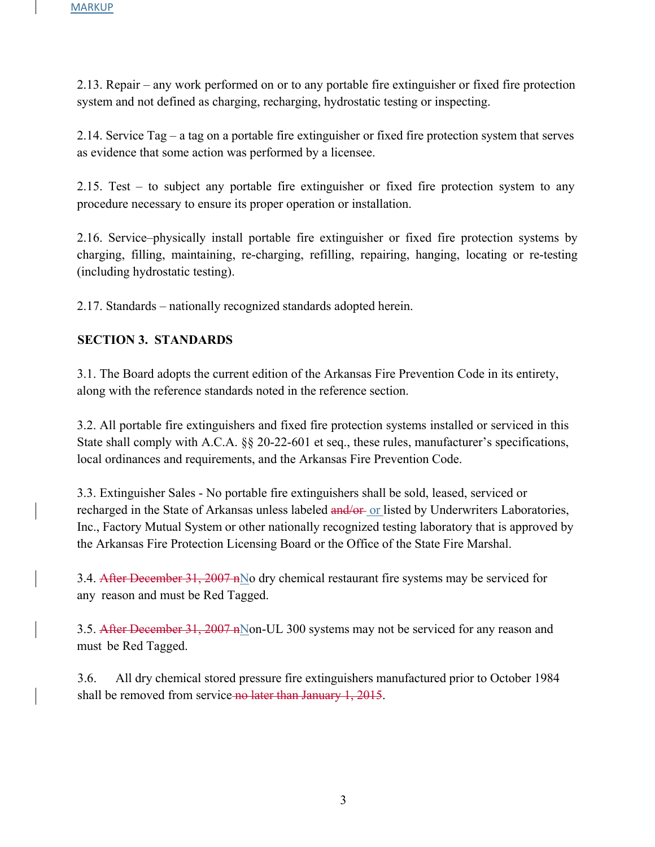2.13. Repair – any work performed on or to any portable fire extinguisher or fixed fire protection system and not defined as charging, recharging, hydrostatic testing or inspecting.

2.14. Service Tag – a tag on a portable fire extinguisher or fixed fire protection system that serves as evidence that some action was performed by a licensee.

2.15. Test – to subject any portable fire extinguisher or fixed fire protection system to any procedure necessary to ensure its proper operation or installation.

2.16. Service–physically install portable fire extinguisher or fixed fire protection systems by charging, filling, maintaining, re-charging, refilling, repairing, hanging, locating or re-testing (including hydrostatic testing).

2.17. Standards – nationally recognized standards adopted herein.

### **SECTION 3. STANDARDS**

3.1. The Board adopts the current edition of the Arkansas Fire Prevention Code in its entirety, along with the reference standards noted in the reference section.

3.2. All portable fire extinguishers and fixed fire protection systems installed or serviced in this State shall comply with A.C.A. §§ 20-22-601 et seq., these rules, manufacturer's specifications, local ordinances and requirements, and the Arkansas Fire Prevention Code.

3.3. Extinguisher Sales - No portable fire extinguishers shall be sold, leased, serviced or recharged in the State of Arkansas unless labeled and/or or listed by Underwriters Laboratories, Inc., Factory Mutual System or other nationally recognized testing laboratory that is approved by the Arkansas Fire Protection Licensing Board or the Office of the State Fire Marshal.

3.4. After December 31, 2007 nNo dry chemical restaurant fire systems may be serviced for any reason and must be Red Tagged.

3.5. After December 31, 2007 nMon-UL 300 systems may not be serviced for any reason and must be Red Tagged.

3.6. All dry chemical stored pressure fire extinguishers manufactured prior to October 1984 shall be removed from service no later than January 1, 2015.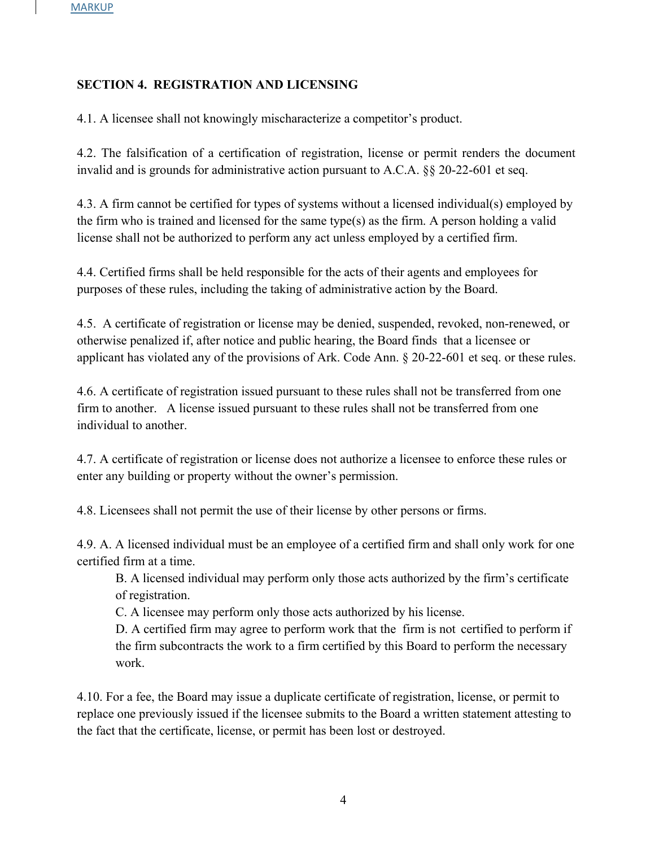### **SECTION 4. REGISTRATION AND LICENSING**

4.1. A licensee shall not knowingly mischaracterize a competitor's product.

4.2. The falsification of a certification of registration, license or permit renders the document invalid and is grounds for administrative action pursuant to A.C.A. §§ 20-22-601 et seq.

4.3. A firm cannot be certified for types of systems without a licensed individual(s) employed by the firm who is trained and licensed for the same type(s) as the firm. A person holding a valid license shall not be authorized to perform any act unless employed by a certified firm.

4.4. Certified firms shall be held responsible for the acts of their agents and employees for purposes of these rules, including the taking of administrative action by the Board.

4.5. A certificate of registration or license may be denied, suspended, revoked, non-renewed, or otherwise penalized if, after notice and public hearing, the Board finds that a licensee or applicant has violated any of the provisions of Ark. Code Ann. § 20-22-601 et seq. or these rules.

4.6. A certificate of registration issued pursuant to these rules shall not be transferred from one firm to another. A license issued pursuant to these rules shall not be transferred from one individual to another.

4.7. A certificate of registration or license does not authorize a licensee to enforce these rules or enter any building or property without the owner's permission.

4.8. Licensees shall not permit the use of their license by other persons or firms.

4.9. A. A licensed individual must be an employee of a certified firm and shall only work for one certified firm at a time.

B. A licensed individual may perform only those acts authorized by the firm's certificate of registration.

C. A licensee may perform only those acts authorized by his license.

D. A certified firm may agree to perform work that the firm is not certified to perform if the firm subcontracts the work to a firm certified by this Board to perform the necessary work.

4.10. For a fee, the Board may issue a duplicate certificate of registration, license, or permit to replace one previously issued if the licensee submits to the Board a written statement attesting to the fact that the certificate, license, or permit has been lost or destroyed.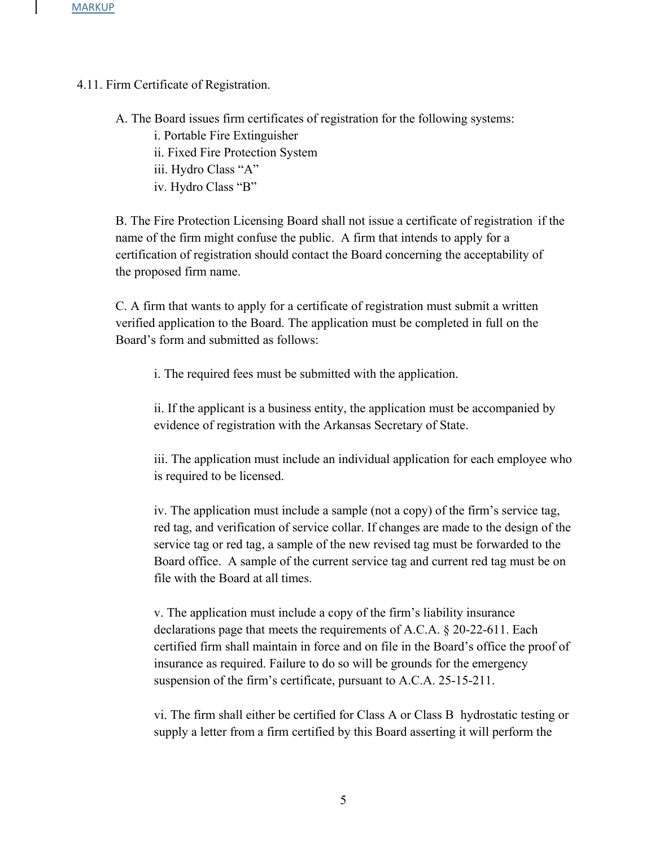4.11. Firm Certificate of Registration.

A. The Board issues firm certificates of registration for the following systems:

i. Portable Fire Extinguisher

ii. Fixed Fire Protection System

iii. Hydro Class "A"

iv. Hydro Class "B"

B. The Fire Protection Licensing Board shall not issue a certificate of registration if the name of the firm might confuse the public. A firm that intends to apply for a certification of registration should contact the Board concerning the acceptability of the proposed firm name.

C. A firm that wants to apply for a certificate of registration must submit a written verified application to the Board. The application must be completed in full on the Board's form and submitted as follows:

i. The required fees must be submitted with the application.

ii. If the applicant is a business entity, the application must be accompanied by evidence of registration with the Arkansas Secretary of State.

iii. The application must include an individual application for each employee who is required to be licensed.

iv. The application must include a sample (not a copy) of the firm's service tag, red tag, and verification of service collar. If changes are made to the design of the service tag or red tag, a sample of the new revised tag must be forwarded to the Board office. A sample of the current service tag and current red tag must be on file with the Board at all times.

v. The application must include a copy of the firm's liability insurance declarations page that meets the requirements of A.C.A. § 20-22-611. Each certified firm shall maintain in force and on file in the Board's office the proof of insurance as required. Failure to do so will be grounds for the emergency suspension of the firm's certificate, pursuant to A.C.A. 25-15-211.

vi. The firm shall either be certified for Class A or Class B hydrostatic testing or supply a letter from a firm certified by this Board asserting it will perform the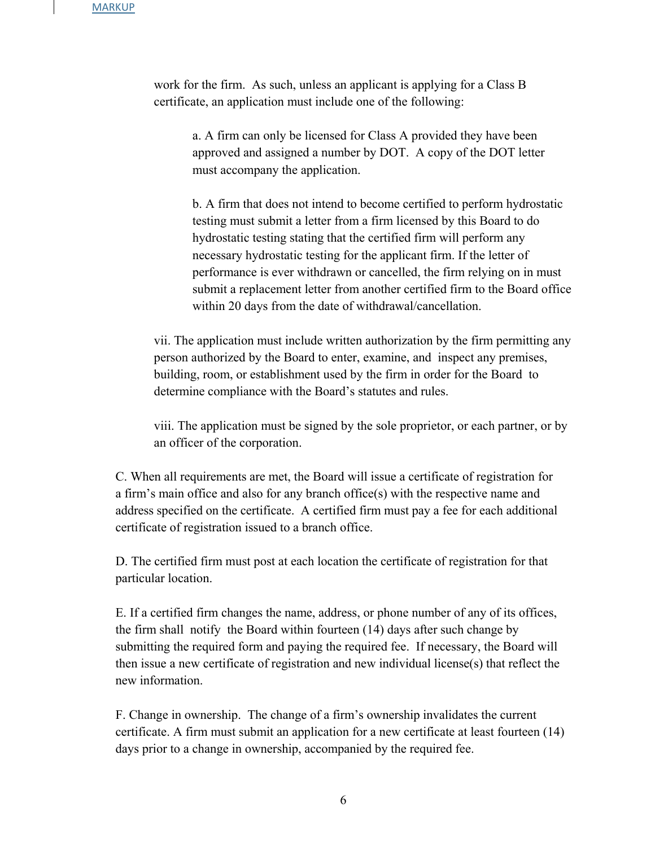work for the firm. As such, unless an applicant is applying for a Class B certificate, an application must include one of the following:

> a. A firm can only be licensed for Class A provided they have been approved and assigned a number by DOT. A copy of the DOT letter must accompany the application.

b. A firm that does not intend to become certified to perform hydrostatic testing must submit a letter from a firm licensed by this Board to do hydrostatic testing stating that the certified firm will perform any necessary hydrostatic testing for the applicant firm. If the letter of performance is ever withdrawn or cancelled, the firm relying on in must submit a replacement letter from another certified firm to the Board office within 20 days from the date of withdrawal/cancellation.

vii. The application must include written authorization by the firm permitting any person authorized by the Board to enter, examine, and inspect any premises, building, room, or establishment used by the firm in order for the Board to determine compliance with the Board's statutes and rules.

viii. The application must be signed by the sole proprietor, or each partner, or by an officer of the corporation.

C. When all requirements are met, the Board will issue a certificate of registration for a firm's main office and also for any branch office(s) with the respective name and address specified on the certificate. A certified firm must pay a fee for each additional certificate of registration issued to a branch office.

D. The certified firm must post at each location the certificate of registration for that particular location.

E. If a certified firm changes the name, address, or phone number of any of its offices, the firm shall notify the Board within fourteen (14) days after such change by submitting the required form and paying the required fee. If necessary, the Board will then issue a new certificate of registration and new individual license(s) that reflect the new information.

F. Change in ownership. The change of a firm's ownership invalidates the current certificate. A firm must submit an application for a new certificate at least fourteen (14) days prior to a change in ownership, accompanied by the required fee.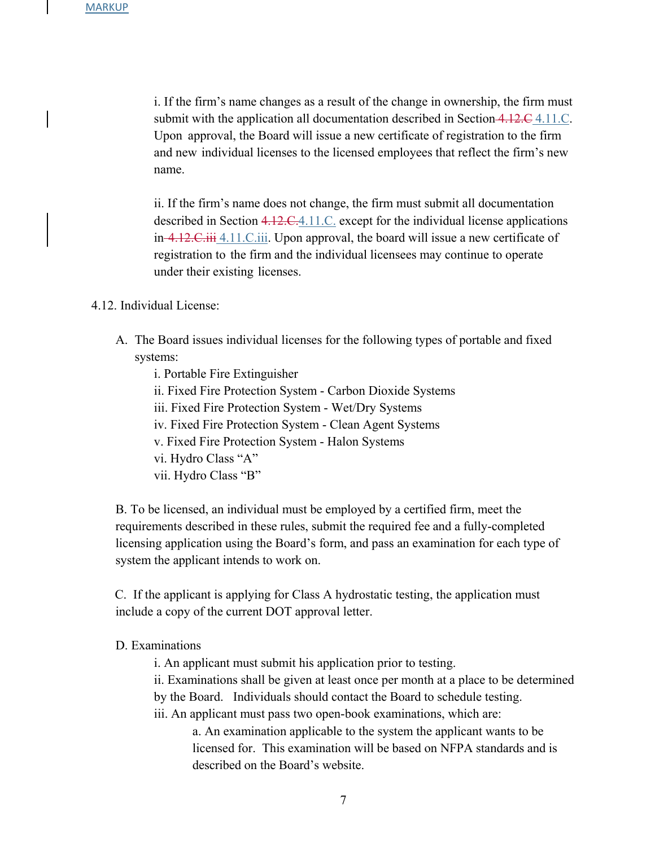i. If the firm's name changes as a result of the change in ownership, the firm must submit with the application all documentation described in Section 4.12.C 4.11.C. Upon approval, the Board will issue a new certificate of registration to the firm and new individual licenses to the licensed employees that reflect the firm's new name.

ii. If the firm's name does not change, the firm must submit all documentation described in Section 4.12.C.4.11.C. except for the individual license applications in 4.12.C.iii 4.11.C.iii. Upon approval, the board will issue a new certificate of registration to the firm and the individual licensees may continue to operate under their existing licenses.

#### 4.12. Individual License:

A. The Board issues individual licenses for the following types of portable and fixed systems:

i. Portable Fire Extinguisher

ii. Fixed Fire Protection System - Carbon Dioxide Systems

iii. Fixed Fire Protection System - Wet/Dry Systems

iv. Fixed Fire Protection System - Clean Agent Systems

v. Fixed Fire Protection System - Halon Systems

vi. Hydro Class "A"

vii. Hydro Class "B"

B. To be licensed, an individual must be employed by a certified firm, meet the requirements described in these rules, submit the required fee and a fully-completed licensing application using the Board's form, and pass an examination for each type of system the applicant intends to work on.

C. If the applicant is applying for Class A hydrostatic testing, the application must include a copy of the current DOT approval letter.

#### D. Examinations

i. An applicant must submit his application prior to testing.

ii. Examinations shall be given at least once per month at a place to be determined by the Board. Individuals should contact the Board to schedule testing. iii. An applicant must pass two open-book examinations, which are:

a. An examination applicable to the system the applicant wants to be licensed for. This examination will be based on NFPA standards and is described on the Board's website.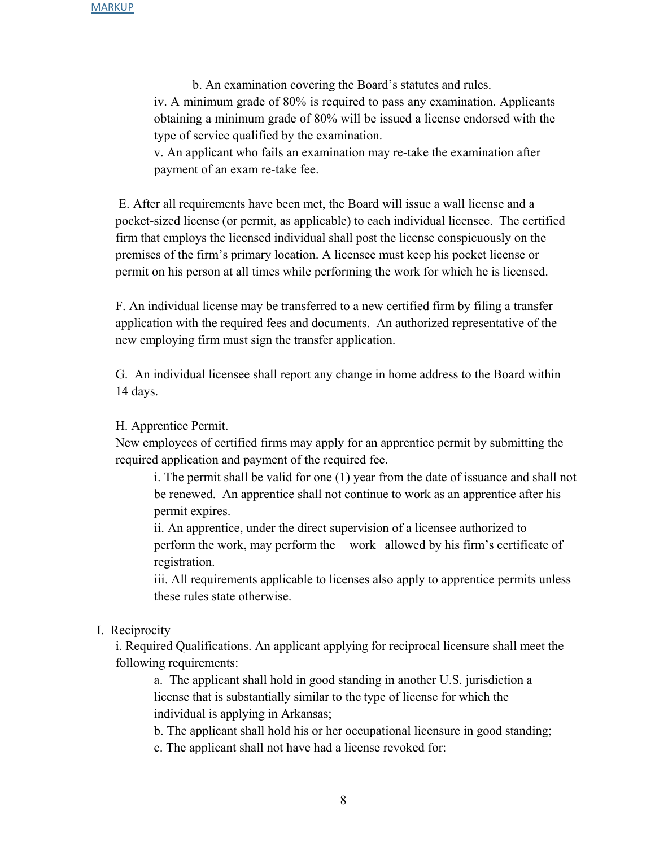b. An examination covering the Board's statutes and rules. iv. A minimum grade of 80% is required to pass any examination. Applicants obtaining a minimum grade of 80% will be issued a license endorsed with the type of service qualified by the examination.

v. An applicant who fails an examination may re-take the examination after payment of an exam re-take fee.

E. After all requirements have been met, the Board will issue a wall license and a pocket-sized license (or permit, as applicable) to each individual licensee. The certified firm that employs the licensed individual shall post the license conspicuously on the premises of the firm's primary location. A licensee must keep his pocket license or permit on his person at all times while performing the work for which he is licensed.

F. An individual license may be transferred to a new certified firm by filing a transfer application with the required fees and documents. An authorized representative of the new employing firm must sign the transfer application.

G. An individual licensee shall report any change in home address to the Board within 14 days.

H. Apprentice Permit.

New employees of certified firms may apply for an apprentice permit by submitting the required application and payment of the required fee.

i. The permit shall be valid for one (1) year from the date of issuance and shall not be renewed. An apprentice shall not continue to work as an apprentice after his permit expires.

ii. An apprentice, under the direct supervision of a licensee authorized to perform the work, may perform the work allowed by his firm's certificate of registration.

iii. All requirements applicable to licenses also apply to apprentice permits unless these rules state otherwise.

#### I. Reciprocity

i. Required Qualifications. An applicant applying for reciprocal licensure shall meet the following requirements:

a. The applicant shall hold in good standing in another U.S. jurisdiction a license that is substantially similar to the type of license for which the individual is applying in Arkansas;

b. The applicant shall hold his or her occupational licensure in good standing;

c. The applicant shall not have had a license revoked for: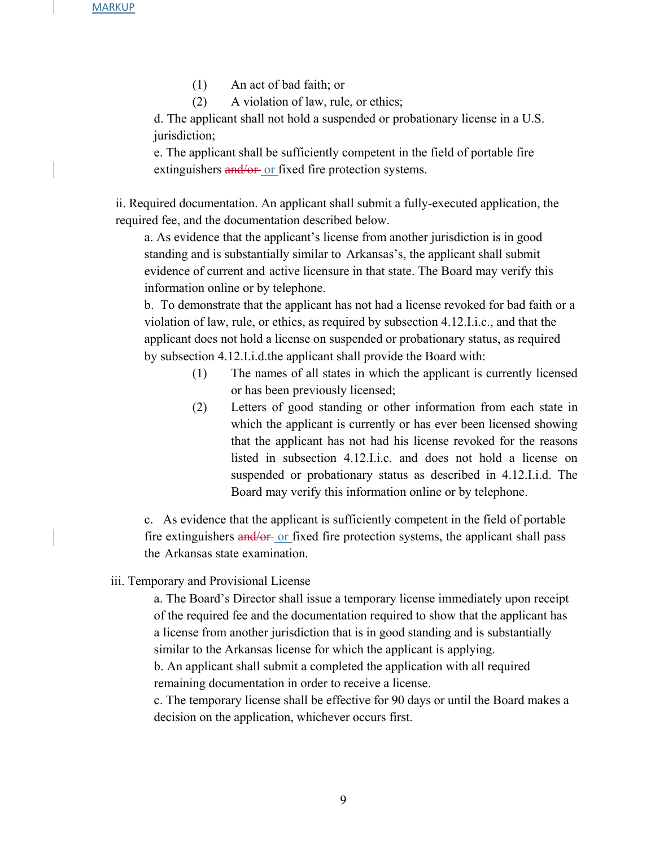- (1) An act of bad faith; or
- (2) A violation of law, rule, or ethics;

d. The applicant shall not hold a suspended or probationary license in a U.S. jurisdiction;

e. The applicant shall be sufficiently competent in the field of portable fire extinguishers and/or or fixed fire protection systems.

ii. Required documentation. An applicant shall submit a fully-executed application, the required fee, and the documentation described below.

a. As evidence that the applicant's license from another jurisdiction is in good standing and is substantially similar to Arkansas's, the applicant shall submit evidence of current and active licensure in that state. The Board may verify this information online or by telephone.

b. To demonstrate that the applicant has not had a license revoked for bad faith or a violation of law, rule, or ethics, as required by subsection 4.12.I.i.c., and that the applicant does not hold a license on suspended or probationary status, as required by subsection 4.12.I.i.d.the applicant shall provide the Board with:

- (1) The names of all states in which the applicant is currently licensed or has been previously licensed;
- (2) Letters of good standing or other information from each state in which the applicant is currently or has ever been licensed showing that the applicant has not had his license revoked for the reasons listed in subsection 4.12.I.i.c. and does not hold a license on suspended or probationary status as described in 4.12.I.i.d. The Board may verify this information online or by telephone.

c. As evidence that the applicant is sufficiently competent in the field of portable fire extinguishers and/or or fixed fire protection systems, the applicant shall pass the Arkansas state examination.

iii. Temporary and Provisional License

a. The Board's Director shall issue a temporary license immediately upon receipt of the required fee and the documentation required to show that the applicant has a license from another jurisdiction that is in good standing and is substantially similar to the Arkansas license for which the applicant is applying.

b. An applicant shall submit a completed the application with all required remaining documentation in order to receive a license.

c. The temporary license shall be effective for 90 days or until the Board makes a decision on the application, whichever occurs first.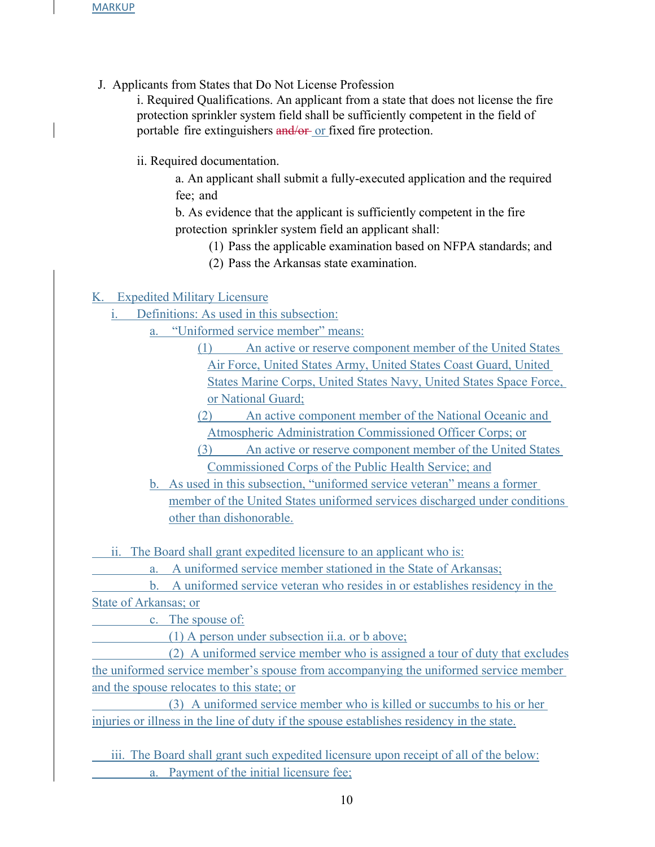J. Applicants from States that Do Not License Profession

i. Required Qualifications. An applicant from a state that does not license the fire protection sprinkler system field shall be sufficiently competent in the field of portable fire extinguishers and/or or fixed fire protection.

ii. Required documentation.

a. An applicant shall submit a fully-executed application and the required fee; and

b. As evidence that the applicant is sufficiently competent in the fire protection sprinkler system field an applicant shall:

- (1) Pass the applicable examination based on NFPA standards; and
- (2) Pass the Arkansas state examination.

### K. Expedited Military Licensure

i. Definitions: As used in this subsection:

a. "Uniformed service member" means:

(1) An active or reserve component member of the United States Air Force, United States Army, United States Coast Guard, United States Marine Corps, United States Navy, United States Space Force, or National Guard;

(2) An active component member of the National Oceanic and Atmospheric Administration Commissioned Officer Corps; or

(3) An active or reserve component member of the United States Commissioned Corps of the Public Health Service; and

b. As used in this subsection, "uniformed service veteran" means a former member of the United States uniformed services discharged under conditions other than dishonorable.

ii. The Board shall grant expedited licensure to an applicant who is:

a. A uniformed service member stationed in the State of Arkansas;

 b. A uniformed service veteran who resides in or establishes residency in the State of Arkansas; or

c. The spouse of:

(1) A person under subsection ii.a. or b above;

 (2) A uniformed service member who is assigned a tour of duty that excludes the uniformed service member's spouse from accompanying the uniformed service member and the spouse relocates to this state; or

 (3) A uniformed service member who is killed or succumbs to his or her injuries or illness in the line of duty if the spouse establishes residency in the state.

iii. The Board shall grant such expedited licensure upon receipt of all of the below: a. Payment of the initial licensure fee;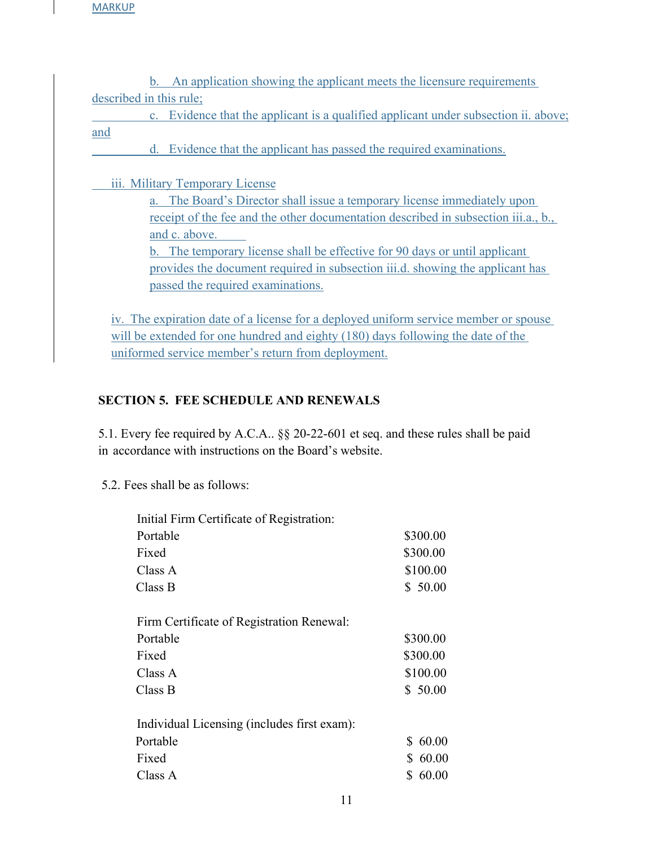**MARKUP** 

 b. An application showing the applicant meets the licensure requirements described in this rule;

 c. Evidence that the applicant is a qualified applicant under subsection ii. above; and

d. Evidence that the applicant has passed the required examinations.

iii. Military Temporary License

a. The Board's Director shall issue a temporary license immediately upon receipt of the fee and the other documentation described in subsection iii.a., b., and c. above.

b. The temporary license shall be effective for 90 days or until applicant provides the document required in subsection iii.d. showing the applicant has passed the required examinations.

iv. The expiration date of a license for a deployed uniform service member or spouse will be extended for one hundred and eighty (180) days following the date of the uniformed service member's return from deployment.

## **SECTION 5. FEE SCHEDULE AND RENEWALS**

5.1. Every fee required by A.C.A.. §§ 20-22-601 et seq. and these rules shall be paid in accordance with instructions on the Board's website.

5.2. Fees shall be as follows:

| Initial Firm Certificate of Registration:   |             |  |
|---------------------------------------------|-------------|--|
| Portable                                    | \$300.00    |  |
| Fixed                                       | \$300.00    |  |
| Class A                                     | \$100.00    |  |
| Class B                                     | \$50.00     |  |
| Firm Certificate of Registration Renewal:   |             |  |
| Portable                                    | \$300.00    |  |
| Fixed                                       | \$300.00    |  |
| Class A                                     | \$100.00    |  |
| Class B                                     | \$50.00     |  |
| Individual Licensing (includes first exam): |             |  |
| Portable                                    | 60.00<br>S. |  |
| Fixed                                       | 60.00<br>S. |  |
| Class A                                     | 60.00<br>S  |  |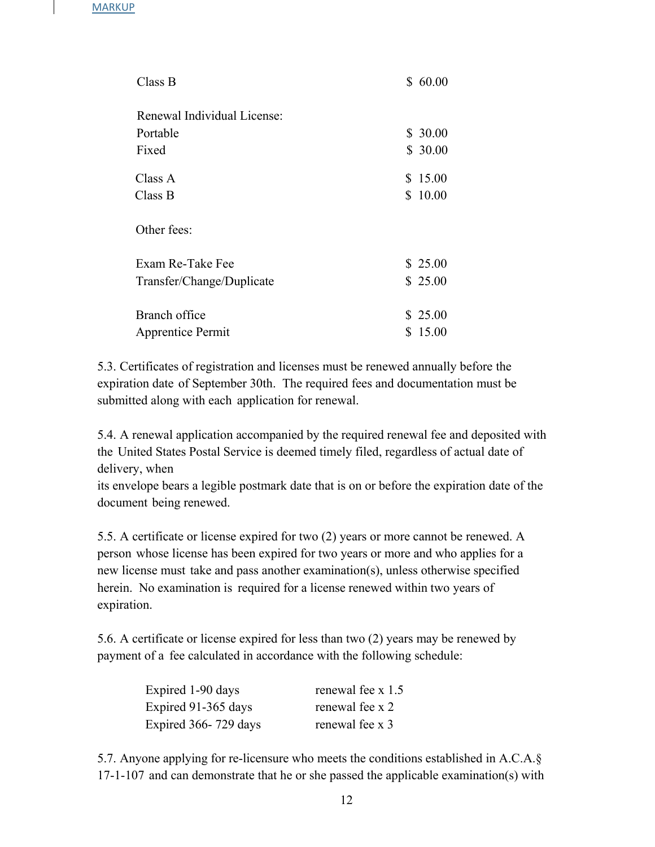| Class B                     | \$60.00 |
|-----------------------------|---------|
| Renewal Individual License: |         |
| Portable                    | \$30.00 |
| Fixed                       | \$30.00 |
| Class A                     | \$15.00 |
| Class B                     | \$10.00 |
| Other fees:                 |         |
| Exam Re-Take Fee            | \$25.00 |
| Transfer/Change/Duplicate   | \$25.00 |
| Branch office               | \$25.00 |
| <b>Apprentice Permit</b>    | \$15.00 |

5.3. Certificates of registration and licenses must be renewed annually before the expiration date of September 30th. The required fees and documentation must be submitted along with each application for renewal.

5.4. A renewal application accompanied by the required renewal fee and deposited with the United States Postal Service is deemed timely filed, regardless of actual date of delivery, when

its envelope bears a legible postmark date that is on or before the expiration date of the document being renewed.

5.5. A certificate or license expired for two (2) years or more cannot be renewed. A person whose license has been expired for two years or more and who applies for a new license must take and pass another examination(s), unless otherwise specified herein. No examination is required for a license renewed within two years of expiration.

5.6. A certificate or license expired for less than two (2) years may be renewed by payment of a fee calculated in accordance with the following schedule:

| Expired 1-90 days    | renewal fee x 1.5 |
|----------------------|-------------------|
| Expired 91-365 days  | renewal fee x 2   |
| Expired 366-729 days | renewal fee x 3   |

5.7. Anyone applying for re-licensure who meets the conditions established in A.C.A.§ 17-1-107 and can demonstrate that he or she passed the applicable examination(s) with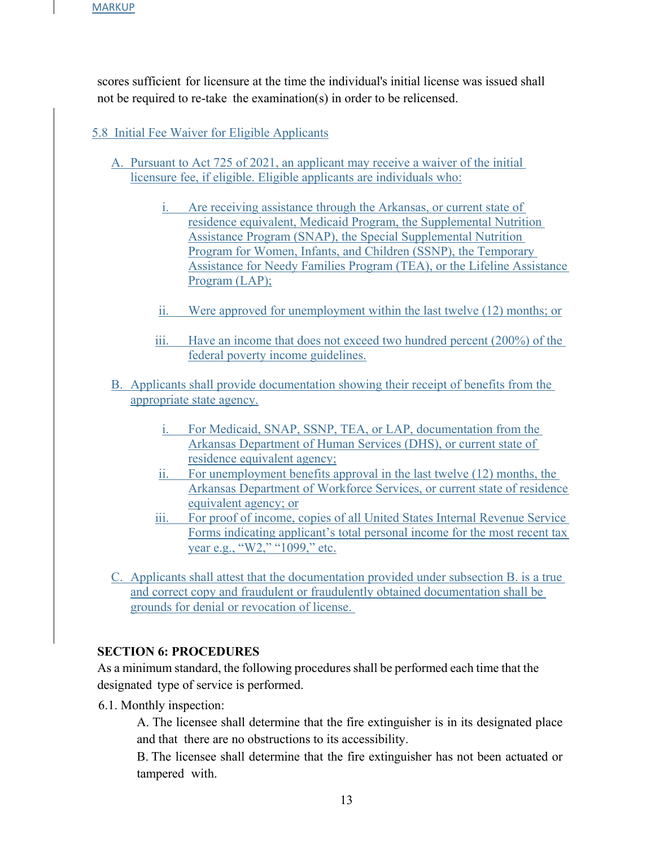scores sufficient for licensure at the time the individual's initial license was issued shall not be required to re-take the examination(s) in order to be relicensed.

### 5.8 Initial Fee Waiver for Eligible Applicants

- A. Pursuant to Act 725 of 2021, an applicant may receive a waiver of the initial licensure fee, if eligible. Eligible applicants are individuals who:
	- i. Are receiving assistance through the Arkansas, or current state of residence equivalent, Medicaid Program, the Supplemental Nutrition Assistance Program (SNAP), the Special Supplemental Nutrition Program for Women, Infants, and Children (SSNP), the Temporary Assistance for Needy Families Program (TEA), or the Lifeline Assistance Program (LAP);
	- ii. Were approved for unemployment within the last twelve (12) months; or
	- iii. Have an income that does not exceed two hundred percent (200%) of the federal poverty income guidelines.
- B. Applicants shall provide documentation showing their receipt of benefits from the appropriate state agency.
	- i. For Medicaid, SNAP, SSNP, TEA, or LAP, documentation from the Arkansas Department of Human Services (DHS), or current state of residence equivalent agency;
	- ii. For unemployment benefits approval in the last twelve (12) months, the Arkansas Department of Workforce Services, or current state of residence equivalent agency; or
	- iii. For proof of income, copies of all United States Internal Revenue Service Forms indicating applicant's total personal income for the most recent tax year e.g., "W2," "1099," etc.
- C. Applicants shall attest that the documentation provided under subsection B. is a true and correct copy and fraudulent or fraudulently obtained documentation shall be grounds for denial or revocation of license.

### **SECTION 6: PROCEDURES**

As a minimum standard, the following procedures shall be performed each time that the designated type of service is performed.

6.1. Monthly inspection:

A. The licensee shall determine that the fire extinguisher is in its designated place and that there are no obstructions to its accessibility.

B. The licensee shall determine that the fire extinguisher has not been actuated or tampered with.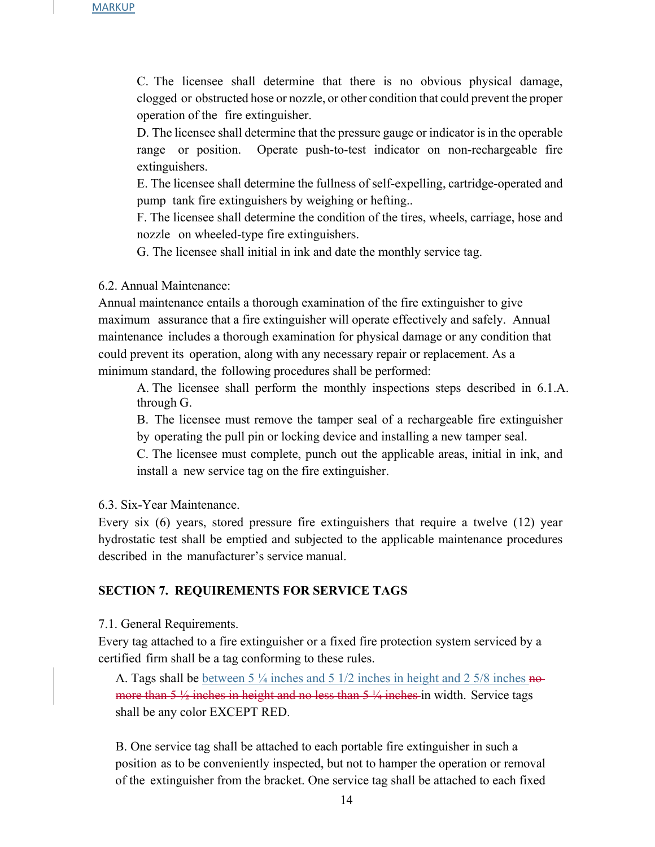C. The licensee shall determine that there is no obvious physical damage, clogged or obstructed hose or nozzle, or other condition that could prevent the proper operation of the fire extinguisher.

D. The licensee shall determine that the pressure gauge or indicator is in the operable range or position. Operate push-to-test indicator on non-rechargeable fire extinguishers.

E. The licensee shall determine the fullness of self-expelling, cartridge-operated and pump tank fire extinguishers by weighing or hefting..

F. The licensee shall determine the condition of the tires, wheels, carriage, hose and nozzle on wheeled-type fire extinguishers.

G. The licensee shall initial in ink and date the monthly service tag.

6.2. Annual Maintenance:

Annual maintenance entails a thorough examination of the fire extinguisher to give maximum assurance that a fire extinguisher will operate effectively and safely. Annual maintenance includes a thorough examination for physical damage or any condition that could prevent its operation, along with any necessary repair or replacement. As a minimum standard, the following procedures shall be performed:

A. The licensee shall perform the monthly inspections steps described in 6.1.A. through G.

B. The licensee must remove the tamper seal of a rechargeable fire extinguisher by operating the pull pin or locking device and installing a new tamper seal.

C. The licensee must complete, punch out the applicable areas, initial in ink, and install a new service tag on the fire extinguisher.

6.3. Six-Year Maintenance.

Every six (6) years, stored pressure fire extinguishers that require a twelve (12) year hydrostatic test shall be emptied and subjected to the applicable maintenance procedures described in the manufacturer's service manual.

### **SECTION 7. REQUIREMENTS FOR SERVICE TAGS**

7.1. General Requirements.

Every tag attached to a fire extinguisher or a fixed fire protection system serviced by a certified firm shall be a tag conforming to these rules.

A. Tags shall be between 5  $\frac{1}{4}$  inches and 5 1/2 inches in height and 2 5/8 inches nomore than  $5\frac{1}{2}$  inches in height and no less than  $5\frac{1}{4}$  inches in width. Service tags shall be any color EXCEPT RED.

B. One service tag shall be attached to each portable fire extinguisher in such a position as to be conveniently inspected, but not to hamper the operation or removal of the extinguisher from the bracket. One service tag shall be attached to each fixed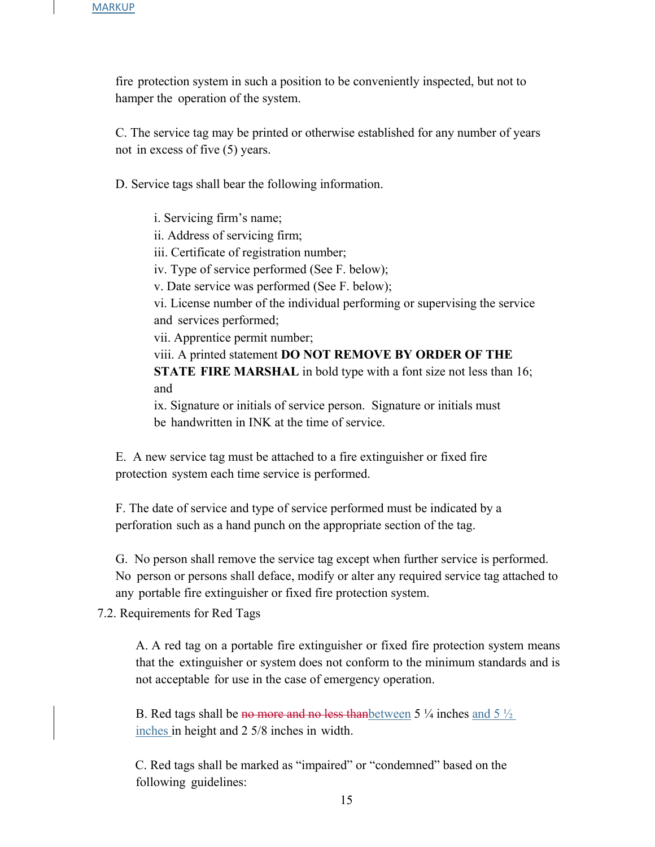fire protection system in such a position to be conveniently inspected, but not to hamper the operation of the system.

C. The service tag may be printed or otherwise established for any number of years not in excess of five (5) years.

D. Service tags shall bear the following information.

i. Servicing firm's name; ii. Address of servicing firm; iii. Certificate of registration number; iv. Type of service performed (See F. below); v. Date service was performed (See F. below); vi. License number of the individual performing or supervising the service and services performed; vii. Apprentice permit number; viii. A printed statement **DO NOT REMOVE BY ORDER OF THE STATE FIRE MARSHAL** in bold type with a font size not less than 16; and ix. Signature or initials of service person. Signature or initials must be handwritten in INK at the time of service.

E. A new service tag must be attached to a fire extinguisher or fixed fire protection system each time service is performed.

F. The date of service and type of service performed must be indicated by a perforation such as a hand punch on the appropriate section of the tag.

G. No person shall remove the service tag except when further service is performed. No person or persons shall deface, modify or alter any required service tag attached to any portable fire extinguisher or fixed fire protection system.

7.2. Requirements for Red Tags

A. A red tag on a portable fire extinguisher or fixed fire protection system means that the extinguisher or system does not conform to the minimum standards and is not acceptable for use in the case of emergency operation.

B. Red tags shall be no more and no less than between 5  $\frac{1}{4}$  inches and 5  $\frac{1}{2}$ inches in height and 2 5/8 inches in width.

C. Red tags shall be marked as "impaired" or "condemned" based on the following guidelines: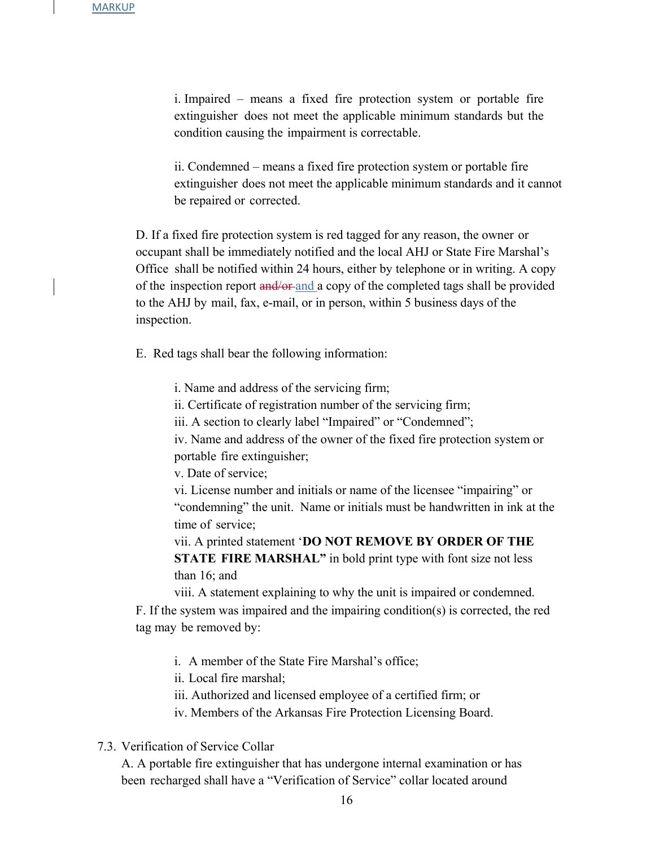i. Impaired – means a fixed fire protection system or portable fire extinguisher does not meet the applicable minimum standards but the condition causing the impairment is correctable.

ii. Condemned – means a fixed fire protection system or portable fire extinguisher does not meet the applicable minimum standards and it cannot be repaired or corrected.

D. If a fixed fire protection system is red tagged for any reason, the owner or occupant shall be immediately notified and the local AHJ or State Fire Marshal's Office shall be notified within 24 hours, either by telephone or in writing. A copy of the inspection report  $\frac{and}{or}$  and a copy of the completed tags shall be provided to the AHJ by mail, fax, e-mail, or in person, within 5 business days of the inspection.

E. Red tags shall bear the following information:

i. Name and address of the servicing firm;

ii. Certificate of registration number of the servicing firm;

iii. A section to clearly label "Impaired" or "Condemned";

iv. Name and address of the owner of the fixed fire protection system or portable fire extinguisher;

v. Date of service;

vi. License number and initials or name of the licensee "impairing" or "condemning" the unit. Name or initials must be handwritten in ink at the time of service;

vii. A printed statement '**DO NOT REMOVE BY ORDER OF THE STATE FIRE MARSHAL"** in bold print type with font size not less than 16; and

viii. A statement explaining to why the unit is impaired or condemned. F. If the system was impaired and the impairing condition(s) is corrected, the red tag may be removed by:

i. A member of the State Fire Marshal's office;

ii. Local fire marshal;

iii. Authorized and licensed employee of a certified firm; or

iv. Members of the Arkansas Fire Protection Licensing Board.

7.3. Verification of Service Collar

A. A portable fire extinguisher that has undergone internal examination or has been recharged shall have a "Verification of Service" collar located around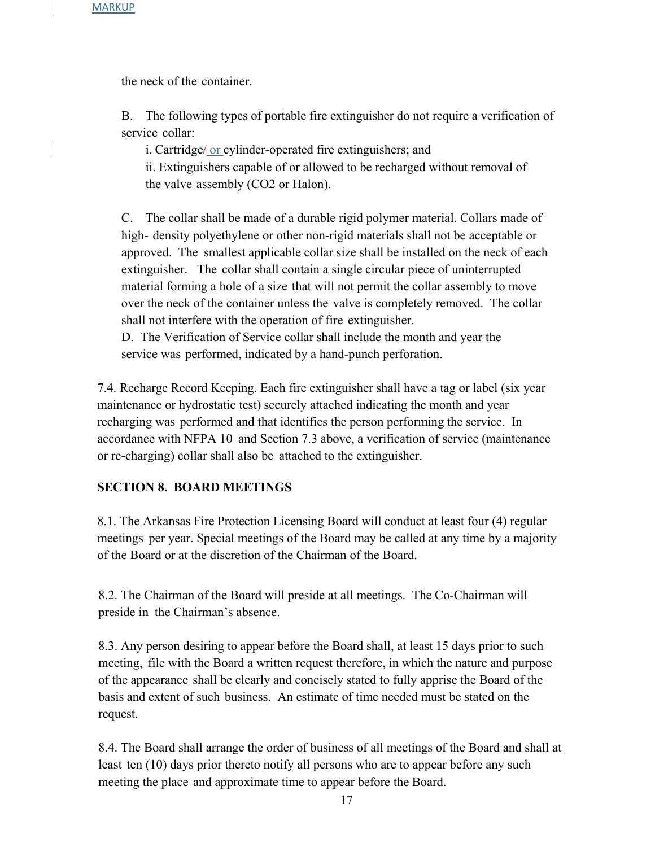the neck of the container.

B. The following types of portable fire extinguisher do not require a verification of service collar:

i. Cartridge/ or cylinder-operated fire extinguishers; and ii. Extinguishers capable of or allowed to be recharged without removal of the valve assembly (CO2 or Halon).

C. The collar shall be made of a durable rigid polymer material. Collars made of high- density polyethylene or other non-rigid materials shall not be acceptable or approved. The smallest applicable collar size shall be installed on the neck of each extinguisher. The collar shall contain a single circular piece of uninterrupted material forming a hole of a size that will not permit the collar assembly to move over the neck of the container unless the valve is completely removed. The collar shall not interfere with the operation of fire extinguisher.

D. The Verification of Service collar shall include the month and year the service was performed, indicated by a hand-punch perforation.

7.4. Recharge Record Keeping. Each fire extinguisher shall have a tag or label (six year maintenance or hydrostatic test) securely attached indicating the month and year recharging was performed and that identifies the person performing the service. In accordance with NFPA 10 and Section 7.3 above, a verification of service (maintenance or re-charging) collar shall also be attached to the extinguisher.

### **SECTION 8. BOARD MEETINGS**

8.1. The Arkansas Fire Protection Licensing Board will conduct at least four (4) regular meetings per year. Special meetings of the Board may be called at any time by a majority of the Board or at the discretion of the Chairman of the Board.

8.2. The Chairman of the Board will preside at all meetings. The Co-Chairman will preside in the Chairman's absence.

8.3. Any person desiring to appear before the Board shall, at least 15 days prior to such meeting, file with the Board a written request therefore, in which the nature and purpose of the appearance shall be clearly and concisely stated to fully apprise the Board of the basis and extent of such business. An estimate of time needed must be stated on the request.

8.4. The Board shall arrange the order of business of all meetings of the Board and shall at least ten (10) days prior thereto notify all persons who are to appear before any such meeting the place and approximate time to appear before the Board.